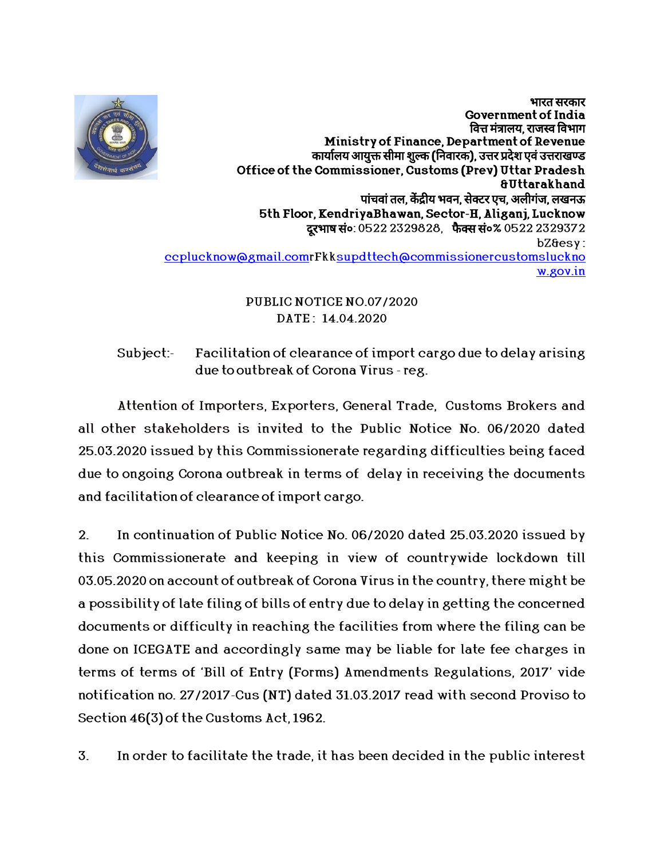

भारत सरकार Government of India वित्त मंत्रालय. राजस्व विभाग Ministry of Finance,Department of Revenue कार्यालय आयुक्त सीमा शुल्क (निवारक), उत्तर प्रदेश एवं उत्तराखण्ड Office of the Commissioner, Customs (Prev) Uttar Pradesh &Ut arakhand पांचवां तल, केंद्रीय भवन, सेक्टर एच, अलीगंज, लखनऊ 5th Floor, KendriyaBhawan, Sector-H, Aliganj, Lucknow दरभाष सं०: 0522 2329828, फैक्स सं०% 0522 2329372 bZ&esy: ccplucknow@gmail.comrFkksupdttech@commissionercustomsluckno w.gov.in

## PUBLIC NOTICE NO.07/2020 DATE : 14.04.2020

Subject:- Facilitation of clearance of import cargo due to delay arising due to outbreak of Corona Virus - reg.

Attention of Importers, Exporters, General Trade, Customs Brokers and all other stakeholders is invited to the Public Notice No. 06/2020 dated 25.03.2020 issued by this Commissionerate regarding difficulties being faced due to ongoing Corona outbreak in terms of delay in receiving the documents

and facilitation of clearance of import cargo.<br>2. In continuation of Public Notice No. 06/2020 dated 25.03.2020 issued by this Commissionerate and keeping in view of countrywide lockdown till 03.05.2020 on account of outbreak of Corona Virus in the country, there might be a possibility of late filing of bills of entry due to delay in getting the concerned documents or difficulty in reaching the facilities from where the filing can be done on ICEGATE and accordingly same may be liable for late fee charges in terms of terms of 'Bill of Entry (Forms) Amendments Regulations, 2017' vide notification no. 27/2017-Cus (NT) dated 31.03.2017 read with second Proviso to Section 46(3) of the Customs Act, 1962.

3. In order to facilitate the trade, it has been decided in the public interest